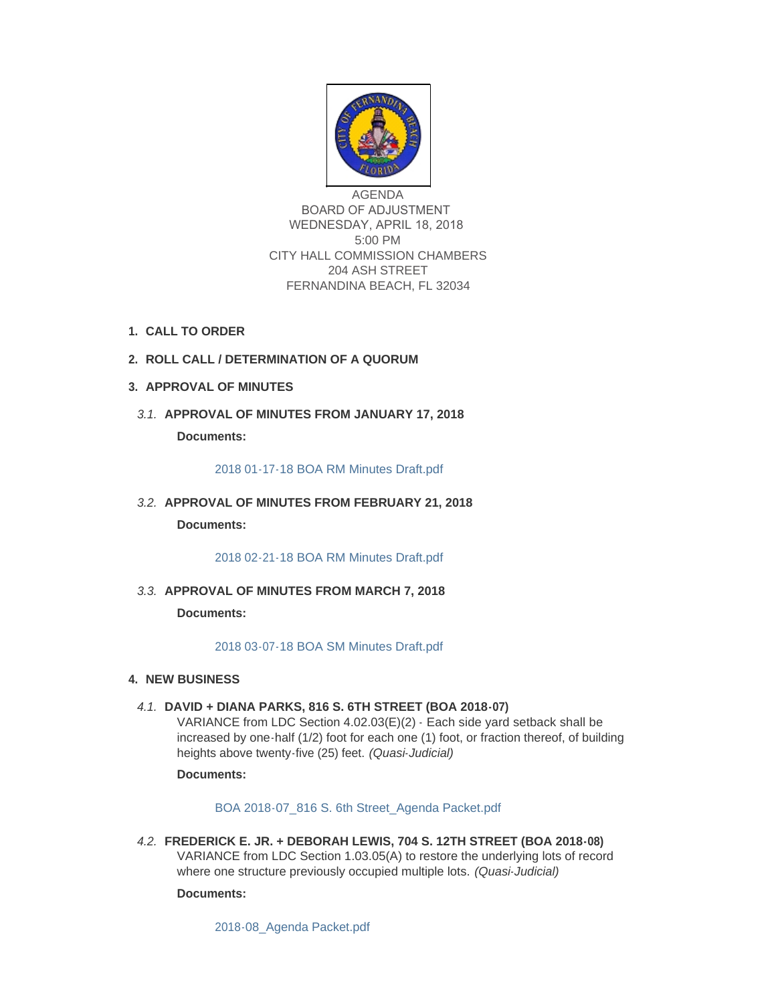

AGENDA BOARD OF ADJUSTMENT WEDNESDAY, APRIL 18, 2018 5:00 PM CITY HALL COMMISSION CHAMBERS 204 ASH STREET FERNANDINA BEACH, FL 32034

- **CALL TO ORDER 1.**
- **ROLL CALL / DETERMINATION OF A QUORUM 2.**
- **APPROVAL OF MINUTES 3.**
- **APPROVAL OF MINUTES FROM JANUARY 17, 2018** *3.1.* **Documents:**

[2018 01-17-18 BOA RM Minutes Draft.pdf](http://fl-fernandinabeach3.civicplus.com/AgendaCenter/ViewFile/Item/8477?fileID=5599)

**APPROVAL OF MINUTES FROM FEBRUARY 21, 2018** *3.2.*

**Documents:**

[2018 02-21-18 BOA RM Minutes Draft.pdf](http://fl-fernandinabeach3.civicplus.com/AgendaCenter/ViewFile/Item/8829?fileID=5598)

**APPROVAL OF MINUTES FROM MARCH 7, 2018** *3.3.*

**Documents:**

[2018 03-07-18 BOA SM Minutes Draft.pdf](http://fl-fernandinabeach3.civicplus.com/AgendaCenter/ViewFile/Item/8830?fileID=5600)

# **NEW BUSINESS 4.**

**DAVID + DIANA PARKS, 816 S. 6TH STREET (BOA 2018-07)** *4.1.* VARIANCE from LDC Section 4.02.03(E)(2) - Each side yard setback shall be increased by one-half (1/2) foot for each one (1) foot, or fraction thereof, of building heights above twenty-five (25) feet. *(Quasi-Judicial)*

**Documents:**

[BOA 2018-07\\_816 S. 6th Street\\_Agenda Packet.pdf](http://fl-fernandinabeach3.civicplus.com/AgendaCenter/ViewFile/Item/8826?fileID=5601)

**FREDERICK E. JR. + DEBORAH LEWIS, 704 S. 12TH STREET (BOA 2018-08)** *4.2.* VARIANCE from LDC Section 1.03.05(A) to restore the underlying lots of record where one structure previously occupied multiple lots. *(Quasi-Judicial)*

**Documents:**

[2018-08\\_Agenda Packet.pdf](http://fl-fernandinabeach3.civicplus.com/AgendaCenter/ViewFile/Item/8827?fileID=5603)